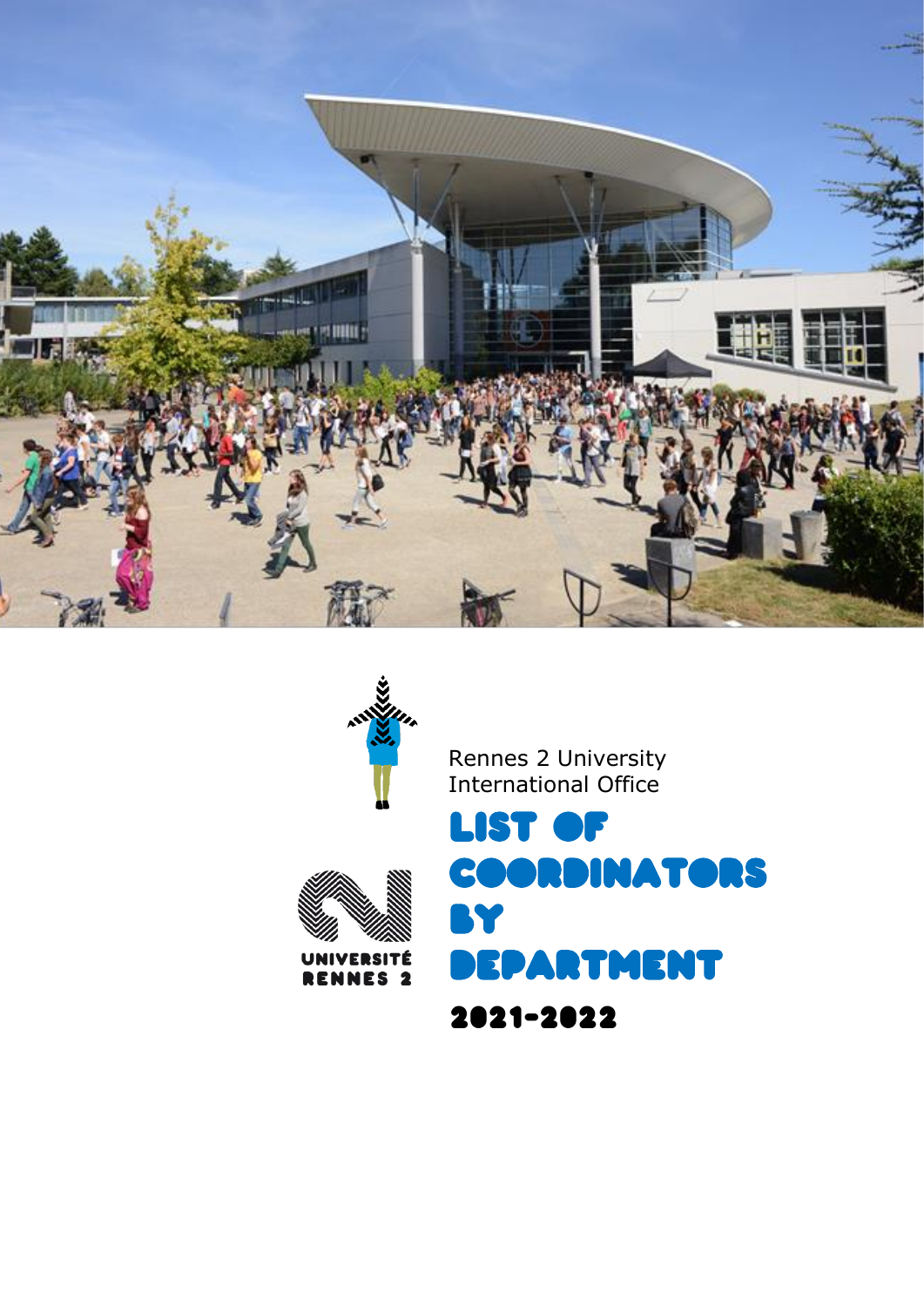



Rennes 2 University International Office



List of coordinators by RTMENT 2021-2022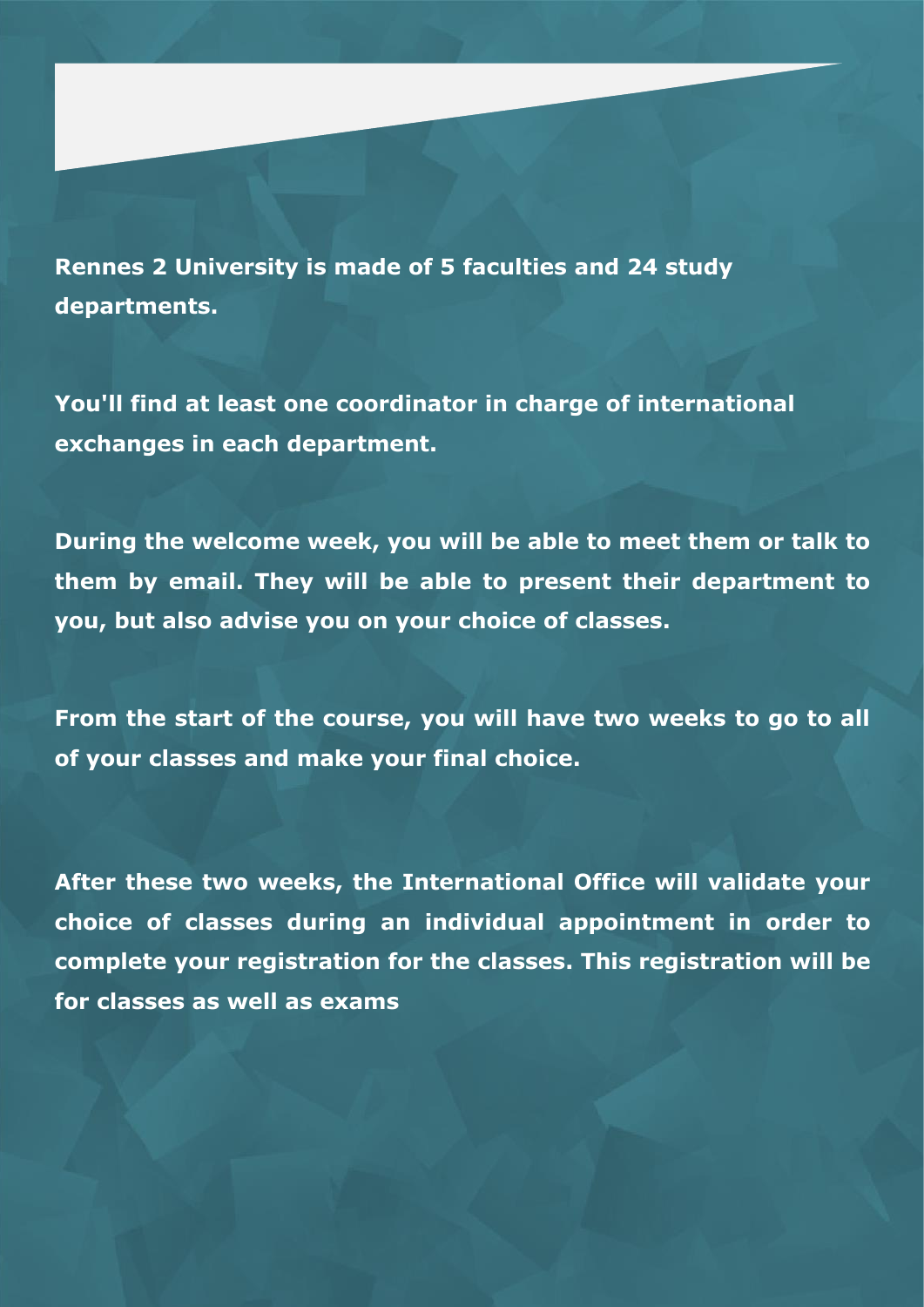**Rennes 2 University is made of 5 faculties and 24 study departments.**

**You'll find at least one coordinator in charge of international exchanges in each department.**

**During the welcome week, you will be able to meet them or talk to them by email. They will be able to present their department to you, but also advise you on your choice of classes.**

**From the start of the course, you will have two weeks to go to all of your classes and make your final choice.**

**After these two weeks, the International Office will validate your choice of classes during an individual appointment in order to complete your registration for the classes. This registration will be for classes as well as exams**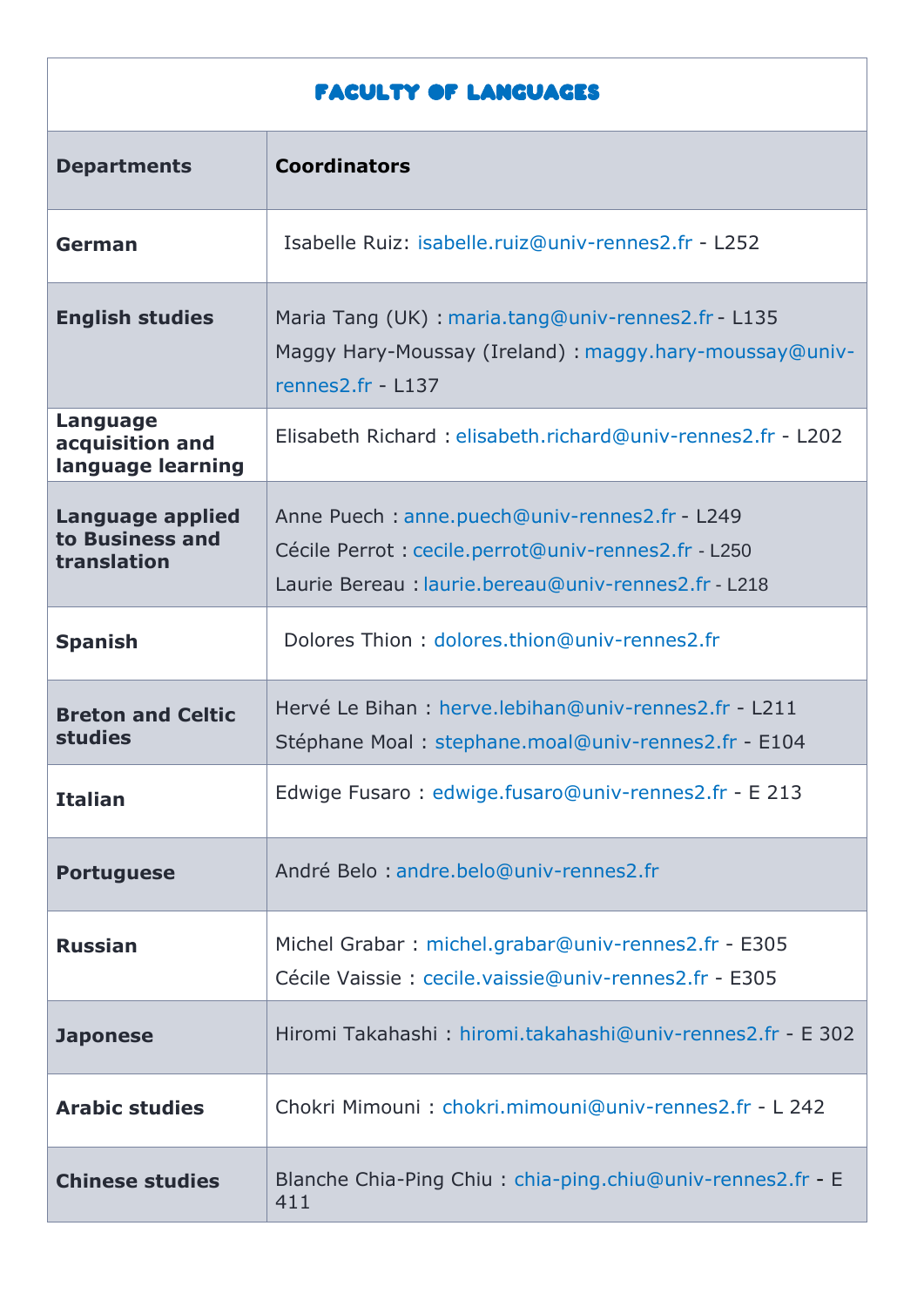## Faculty of Languages

| <b>Departments</b>                                        | <b>Coordinators</b>                                                                                                                                          |
|-----------------------------------------------------------|--------------------------------------------------------------------------------------------------------------------------------------------------------------|
| German                                                    | Isabelle Ruiz: isabelle.ruiz@univ-rennes2.fr - L252                                                                                                          |
| <b>English studies</b>                                    | Maria Tang (UK): maria.tang@univ-rennes2.fr - L135<br>Maggy Hary-Moussay (Ireland) : maggy.hary-moussay@univ-<br>rennes2.fr - L137                           |
| <b>Language</b><br>acquisition and<br>language learning   | Elisabeth Richard: elisabeth.richard@univ-rennes2.fr - L202                                                                                                  |
| <b>Language applied</b><br>to Business and<br>translation | Anne Puech: anne.puech@univ-rennes2.fr - L249<br>Cécile Perrot : cecile.perrot@univ-rennes2.fr - L250<br>Laurie Bereau: laurie.bereau@univ-rennes2.fr - L218 |
| <b>Spanish</b>                                            | Dolores Thion: dolores.thion@univ-rennes2.fr                                                                                                                 |
| <b>Breton and Celtic</b><br><b>studies</b>                | Hervé Le Bihan : herve.lebihan@univ-rennes2.fr - L211<br>Stéphane Moal: stephane.moal@univ-rennes2.fr - E104                                                 |
| <b>Italian</b>                                            | Edwige Fusaro: edwige.fusaro@univ-rennes2.fr - E 213                                                                                                         |
| <b>Portuguese</b>                                         | André Belo: andre.belo@univ-rennes2.fr                                                                                                                       |
| <b>Russian</b>                                            | Michel Grabar: michel.grabar@univ-rennes2.fr - E305<br>Cécile Vaissie: cecile.vaissie@univ-rennes2.fr - E305                                                 |
| <b>Japonese</b>                                           | Hiromi Takahashi: hiromi.takahashi@univ-rennes2.fr - E 302                                                                                                   |
| <b>Arabic studies</b>                                     | Chokri Mimouni: chokri.mimouni@univ-rennes2.fr - L 242                                                                                                       |
| <b>Chinese studies</b>                                    | Blanche Chia-Ping Chiu: chia-ping.chiu@univ-rennes2.fr - E<br>411                                                                                            |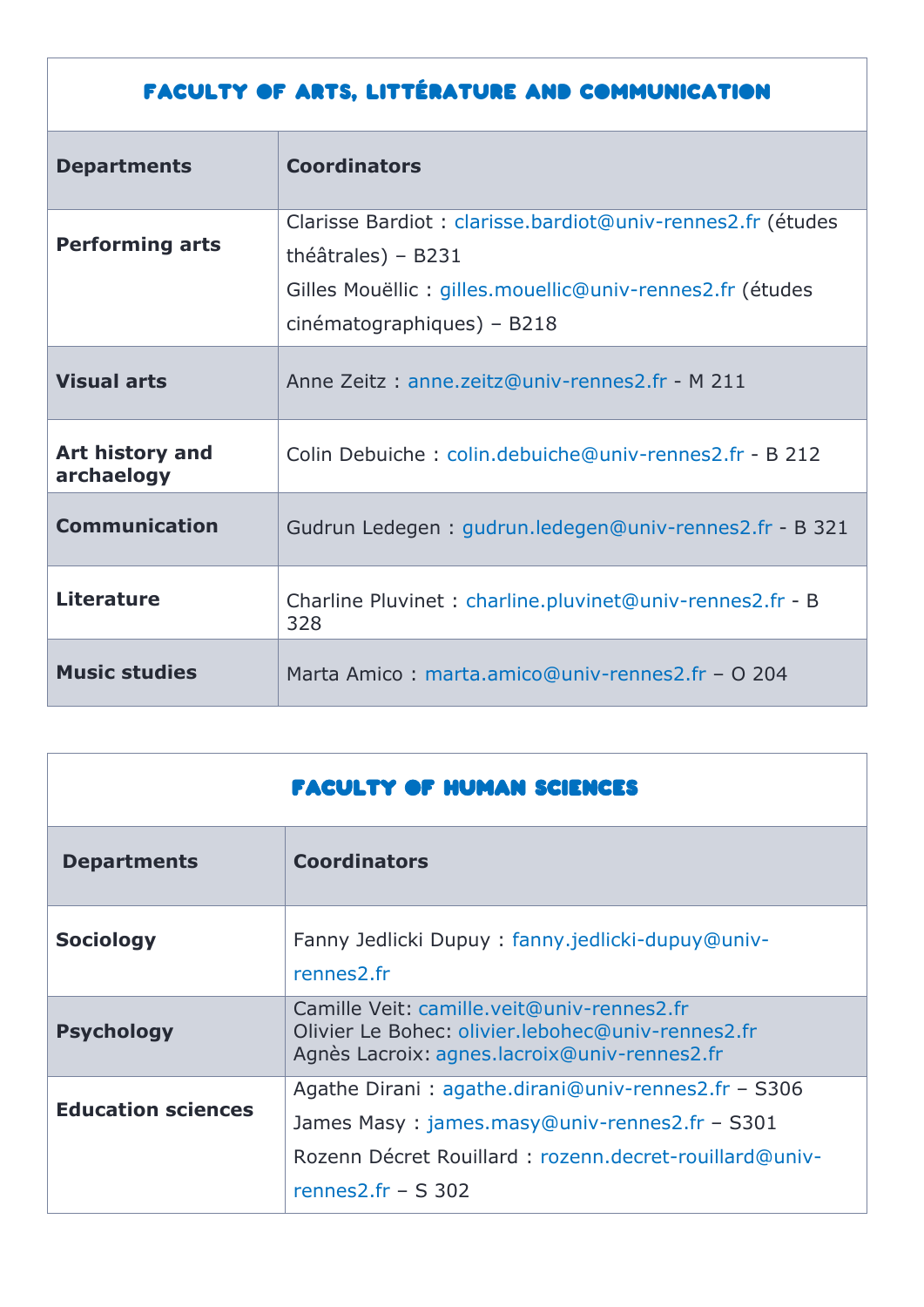## Faculty of Arts, Littérature and Communication

| <b>Departments</b>            | <b>Coordinators</b>                                                                 |
|-------------------------------|-------------------------------------------------------------------------------------|
| <b>Performing arts</b>        | Clarisse Bardiot : clarisse.bardiot@univ-rennes2.fr (études<br>théâtrales) - $B231$ |
|                               | Gilles Mouëllic: gilles.mouellic@univ-rennes2.fr (études                            |
|                               | cinématographiques) - B218                                                          |
| <b>Visual arts</b>            | Anne Zeitz: anne.zeitz@univ-rennes2.fr - M 211                                      |
| Art history and<br>archaelogy | Colin Debuiche: colin.debuiche@univ-rennes2.fr - B 212                              |
| <b>Communication</b>          | Gudrun Ledegen: gudrun.ledegen@univ-rennes2.fr - B 321                              |
| <b>Literature</b>             | Charline Pluvinet : charline.pluvinet@univ-rennes2.fr - B<br>328                    |
| <b>Music studies</b>          | Marta Amico: marta.amico@univ-rennes2.fr - O 204                                    |

|                           | <b>FACULTY OF HUMAN SCIENCES</b>                                                                                                                                                        |
|---------------------------|-----------------------------------------------------------------------------------------------------------------------------------------------------------------------------------------|
| <b>Departments</b>        | <b>Coordinators</b>                                                                                                                                                                     |
| <b>Sociology</b>          | Fanny Jedlicki Dupuy: fanny.jedlicki-dupuy@univ-<br>rennes2.fr                                                                                                                          |
| <b>Psychology</b>         | Camille Veit: camille.veit@univ-rennes2.fr<br>Olivier Le Bohec: olivier.lebohec@univ-rennes2.fr<br>Agnès Lacroix: agnes.lacroix@univ-rennes2.fr                                         |
| <b>Education sciences</b> | Agathe Dirani: agathe.dirani@univ-rennes2.fr - S306<br>James Masy: james.masy@univ-rennes2.fr - S301<br>Rozenn Décret Rouillard : rozenn.decret-rouillard@univ-<br>rennes2.fr $-$ S 302 |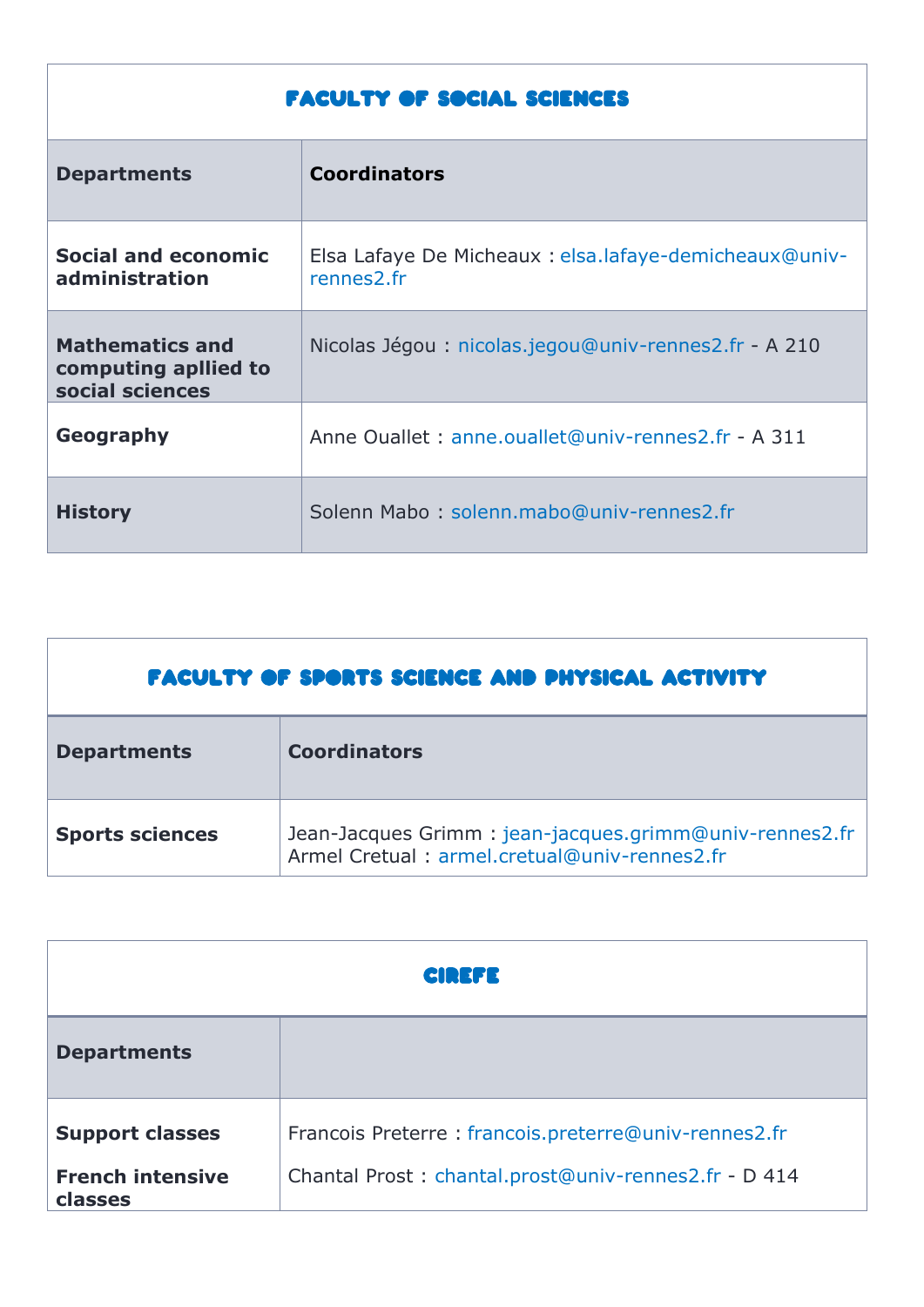## faculty of social sciences

| <b>Departments</b>                                                | <b>Coordinators</b>                                                  |
|-------------------------------------------------------------------|----------------------------------------------------------------------|
| Social and economic<br>administration                             | Elsa Lafaye De Micheaux : elsa.lafaye-demicheaux@univ-<br>rennes2.fr |
| <b>Mathematics and</b><br>computing apllied to<br>social sciences | Nicolas Jégou : nicolas.jegou@univ-rennes2.fr - A 210                |
| Geography                                                         | Anne Ouallet: anne.ouallet@univ-rennes2.fr - A 311                   |
| <b>History</b>                                                    | Solenn Mabo: solenn.mabo@univ-rennes2.fr                             |

| <b>FACULTY OF SPORTS SCIENCE AND PHYSICAL ACTIVITY</b> |                                                                                                        |  |
|--------------------------------------------------------|--------------------------------------------------------------------------------------------------------|--|
| <b>Departments</b>                                     | <b>Coordinators</b>                                                                                    |  |
| <b>Sports sciences</b>                                 | Jean-Jacques Grimm: jean-jacques.grimm@univ-rennes2.fr<br>Armel Cretual: armel.cretual@univ-rennes2.fr |  |

| <b>CIREFE</b>                      |                                                      |
|------------------------------------|------------------------------------------------------|
| <b>Departments</b>                 |                                                      |
| <b>Support classes</b>             | Francois Preterre: francois.preterre@univ-rennes2.fr |
| <b>French intensive</b><br>classes | Chantal Prost: chantal.prost@univ-rennes2.fr - D 414 |